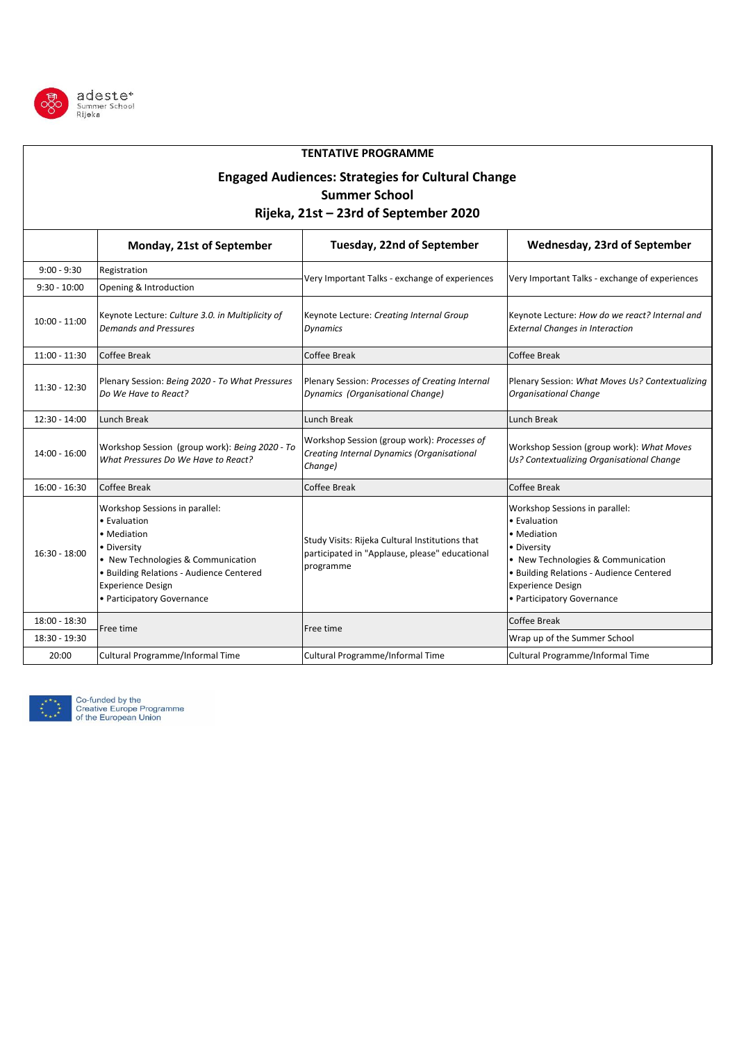

## **Monday, 21st of September**  9:00 - 9:30 Registration 9:30 - 10:00 Opening & Introduction 10:00 - 11:00 Keynote Lecture: *Culture 3.0. in Multiplicity of Demands and Pressures* Keynote Lecture: *Creating Internal Group Dynamics* Keynote Lecture: *How do we react? Internal and External Changes in Interaction* 11:00 - 11:30 Coffee Break Coffee Break Coffee Break Coffee Break Coffee Break Coffee Break Coffee Break Coffee Break 11:30 - 12:30 Plenary Session: *Being 2020 - To What Pressures Do We Have to React?* Plenary Session: *Processes of Creating Internal Dynamics (Organisational Change)* Plenary Session: *What Moves Us? Contextualizing Organisational Change* 12:30 - 14:00 Lunch Break Lunch Break Lunch Break Lunch Break Lunch Break Lunch Break Lunch Break  $14:00 - 16:00$ Workshop Session (group work): *Being 2020 - To What Pressures Do We Have to React?* Workshop Session (group work): *Processes of Creating Internal Dynamics (Organisational Change)*  Workshop Session (group work): *What Moves Us? Contextualizing Organisational Change* 16:00 - 16:30 Coffee Break Coffee Break Coffee Break Coffee Break Coffee Break Coffee Break Coffee Break Coffee Break 18:00 - 18:30 Coffee Break 18:30 - 19:30 CHE CHINE CHINE CHINE CHINE CHINE CHINE CHINE CHINE CHINE CHINE CHINE CHINE CHINE CHINE CHINE CHINE CHINE CHINE CHINE CHINE CHINE CHINE CHINE CHINE CHINE CHINE CHINE CHINE CHINE CHINE CHINE CHINE CHINE CHINE 20:00 Cultural Programme/Informal Time Cultural Programme/Informal Time Cultural Programme/Informal Time **TENTATIVE PROGRAMME** Free time **Free** time **Free** time **Engaged Audiences: Strategies for Cultural Change Summer School Rijeka, 21st – 23rd of September 2020 Tuesday, 22nd of September Wednesday, 23rd of September** Workshop Sessions in parallel: • Evaluation • Mediation • Diversity • New Technologies & Communication • Building Relations - Audience Centered Experience Design • Participatory Governance 16:30 - 18:00 Workshop Sessions in parallel: • Evaluation • Mediation • Diversity • New Technologies & Communication • Building Relations - Audience Centered Experience Design • Participatory Governance Study Visits: Rijeka Cultural Institutions that participated in "Applause, please" educational programme Very Important Talks - exchange of experiences  $\vert$  Very Important Talks - exchange of experiences



Co-funded by the Creative Europe Programme of the European Union